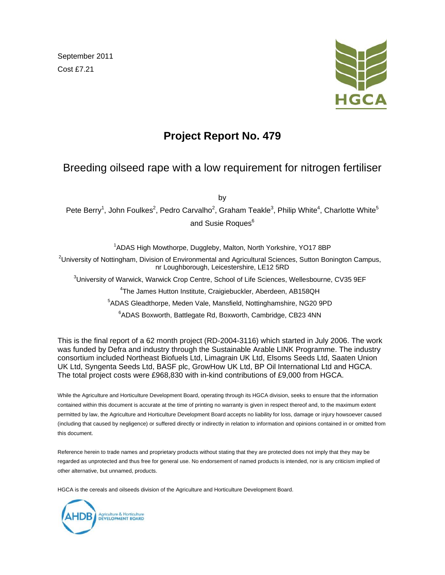September 2011 Cost £7.21



# **Project Report No. 479**

# Breeding oilseed rape with a low requirement for nitrogen fertiliser

by

Pete Berry<sup>1</sup>, John Foulkes<sup>2</sup>, Pedro Carvalho<sup>2</sup>, Graham Teakle<sup>3</sup>, Philip White<sup>4</sup>, Charlotte White<sup>5</sup> and Susie Roques<sup>6</sup>

<sup>1</sup>ADAS High Mowthorpe, Duggleby, Malton, North Yorkshire, YO17 8BP <sup>2</sup>University of Nottingham, Division of Environmental and Agricultural Sciences, Sutton Bonington Campus, nr Loughborough, Leicestershire, LE12 5RD <sup>3</sup>University of Warwick, Warwick Crop Centre, School of Life Sciences, Wellesbourne, CV35 9EF 4 The James Hutton Institute, Craigiebuckler, Aberdeen, AB158QH

5 ADAS Gleadthorpe, Meden Vale, Mansfield, Nottinghamshire, NG20 9PD

6 ADAS Boxworth, Battlegate Rd, Boxworth, Cambridge, CB23 4NN

This is the final report of a 62 month project (RD-2004-3116) which started in July 2006. The work was funded by Defra and industry through the Sustainable Arable LINK Programme. The industry consortium included Northeast Biofuels Ltd, Limagrain UK Ltd, Elsoms Seeds Ltd, Saaten Union UK Ltd, Syngenta Seeds Ltd, BASF plc, GrowHow UK Ltd, BP Oil International Ltd and HGCA. The total project costs were £968,830 with in-kind contributions of £9,000 from HGCA.

While the Agriculture and Horticulture Development Board, operating through its HGCA division, seeks to ensure that the information contained within this document is accurate at the time of printing no warranty is given in respect thereof and, to the maximum extent permitted by law, the Agriculture and Horticulture Development Board accepts no liability for loss, damage or injury howsoever caused (including that caused by negligence) or suffered directly or indirectly in relation to information and opinions contained in or omitted from this document.

Reference herein to trade names and proprietary products without stating that they are protected does not imply that they may be regarded as unprotected and thus free for general use. No endorsement of named products is intended, nor is any criticism implied of other alternative, but unnamed, products.

HGCA is the cereals and oilseeds division of the Agriculture and Horticulture Development Board.

Agriculture & Horticulture<br>DEVELOPMENT BOARD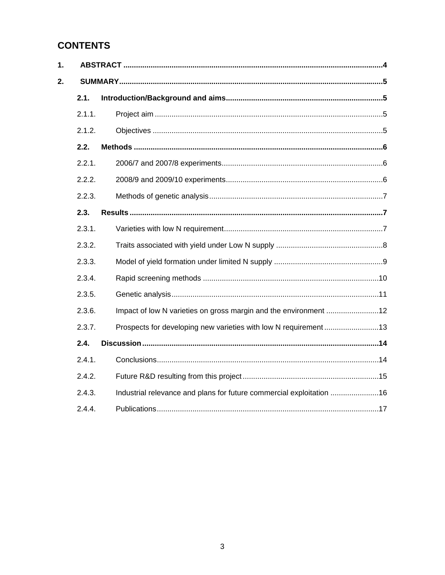# **CONTENTS**

 $1.$ 

 $2.$ 

|  | 2.1.   |                                                                      |  |  |
|--|--------|----------------------------------------------------------------------|--|--|
|  | 2.1.1. |                                                                      |  |  |
|  | 2.1.2. |                                                                      |  |  |
|  | 2.2.   |                                                                      |  |  |
|  | 2.2.1. |                                                                      |  |  |
|  | 2.2.2. |                                                                      |  |  |
|  | 2.2.3. |                                                                      |  |  |
|  | 2.3.   |                                                                      |  |  |
|  | 2.3.1. |                                                                      |  |  |
|  | 2.3.2. |                                                                      |  |  |
|  | 2.3.3. |                                                                      |  |  |
|  | 2.3.4. |                                                                      |  |  |
|  | 2.3.5. |                                                                      |  |  |
|  | 2.3.6. |                                                                      |  |  |
|  | 2.3.7. | Prospects for developing new varieties with low N requirement13      |  |  |
|  | 2.4.   |                                                                      |  |  |
|  | 2.4.1. |                                                                      |  |  |
|  | 2.4.2. |                                                                      |  |  |
|  | 2.4.3. | Industrial relevance and plans for future commercial exploitation 16 |  |  |
|  | 2.4.4. |                                                                      |  |  |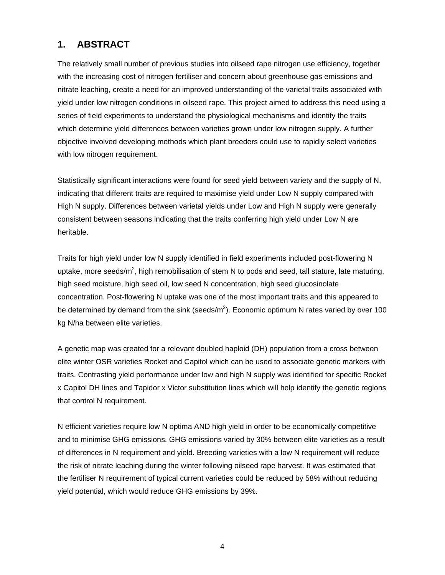## **1. ABSTRACT**

The relatively small number of previous studies into oilseed rape nitrogen use efficiency, together with the increasing cost of nitrogen fertiliser and concern about greenhouse gas emissions and nitrate leaching, create a need for an improved understanding of the varietal traits associated with yield under low nitrogen conditions in oilseed rape. This project aimed to address this need using a series of field experiments to understand the physiological mechanisms and identify the traits which determine yield differences between varieties grown under low nitrogen supply. A further objective involved developing methods which plant breeders could use to rapidly select varieties with low nitrogen requirement.

Statistically significant interactions were found for seed yield between variety and the supply of N, indicating that different traits are required to maximise yield under Low N supply compared with High N supply. Differences between varietal yields under Low and High N supply were generally consistent between seasons indicating that the traits conferring high yield under Low N are heritable.

Traits for high yield under low N supply identified in field experiments included post-flowering N uptake, more seeds/m<sup>2</sup>, high remobilisation of stem N to pods and seed, tall stature, late maturing, high seed moisture, high seed oil, low seed N concentration, high seed glucosinolate concentration. Post-flowering N uptake was one of the most important traits and this appeared to be determined by demand from the sink (seeds/m<sup>2</sup>). Economic optimum N rates varied by over 100 kg N/ha between elite varieties.

A genetic map was created for a relevant doubled haploid (DH) population from a cross between elite winter OSR varieties Rocket and Capitol which can be used to associate genetic markers with traits. Contrasting yield performance under low and high N supply was identified for specific Rocket x Capitol DH lines and Tapidor x Victor substitution lines which will help identify the genetic regions that control N requirement.

N efficient varieties require low N optima AND high yield in order to be economically competitive and to minimise GHG emissions. GHG emissions varied by 30% between elite varieties as a result of differences in N requirement and yield. Breeding varieties with a low N requirement will reduce the risk of nitrate leaching during the winter following oilseed rape harvest. It was estimated that the fertiliser N requirement of typical current varieties could be reduced by 58% without reducing yield potential, which would reduce GHG emissions by 39%.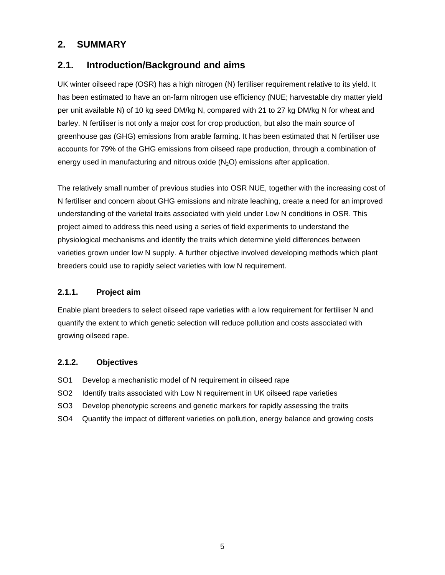## **2. SUMMARY**

## **2.1. Introduction/Background and aims**

UK winter oilseed rape (OSR) has a high nitrogen (N) fertiliser requirement relative to its yield. It has been estimated to have an on-farm nitrogen use efficiency (NUE; harvestable dry matter yield per unit available N) of 10 kg seed DM/kg N, compared with 21 to 27 kg DM/kg N for wheat and barley. N fertiliser is not only a major cost for crop production, but also the main source of greenhouse gas (GHG) emissions from arable farming. It has been estimated that N fertiliser use accounts for 79% of the GHG emissions from oilseed rape production, through a combination of energy used in manufacturing and nitrous oxide  $(N_2O)$  emissions after application.

The relatively small number of previous studies into OSR NUE, together with the increasing cost of N fertiliser and concern about GHG emissions and nitrate leaching, create a need for an improved understanding of the varietal traits associated with yield under Low N conditions in OSR. This project aimed to address this need using a series of field experiments to understand the physiological mechanisms and identify the traits which determine yield differences between varieties grown under low N supply. A further objective involved developing methods which plant breeders could use to rapidly select varieties with low N requirement.

### **2.1.1. Project aim**

Enable plant breeders to select oilseed rape varieties with a low requirement for fertiliser N and quantify the extent to which genetic selection will reduce pollution and costs associated with growing oilseed rape.

### **2.1.2. Objectives**

- SO1 Develop a mechanistic model of N requirement in oilseed rape
- SO2 Identify traits associated with Low N requirement in UK oilseed rape varieties
- SO3 Develop phenotypic screens and genetic markers for rapidly assessing the traits
- SO4 Quantify the impact of different varieties on pollution, energy balance and growing costs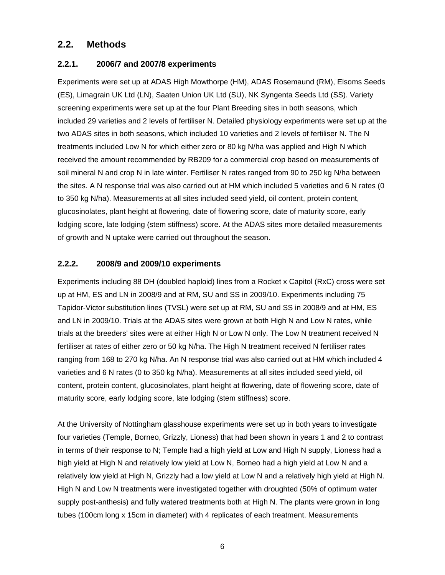## **2.2. Methods**

### **2.2.1. 2006/7 and 2007/8 experiments**

Experiments were set up at ADAS High Mowthorpe (HM), ADAS Rosemaund (RM), Elsoms Seeds (ES), Limagrain UK Ltd (LN), Saaten Union UK Ltd (SU), NK Syngenta Seeds Ltd (SS). Variety screening experiments were set up at the four Plant Breeding sites in both seasons, which included 29 varieties and 2 levels of fertiliser N. Detailed physiology experiments were set up at the two ADAS sites in both seasons, which included 10 varieties and 2 levels of fertiliser N. The N treatments included Low N for which either zero or 80 kg N/ha was applied and High N which received the amount recommended by RB209 for a commercial crop based on measurements of soil mineral N and crop N in late winter. Fertiliser N rates ranged from 90 to 250 kg N/ha between the sites. A N response trial was also carried out at HM which included 5 varieties and 6 N rates (0 to 350 kg N/ha). Measurements at all sites included seed yield, oil content, protein content, glucosinolates, plant height at flowering, date of flowering score, date of maturity score, early lodging score, late lodging (stem stiffness) score. At the ADAS sites more detailed measurements of growth and N uptake were carried out throughout the season.

#### **2.2.2. 2008/9 and 2009/10 experiments**

Experiments including 88 DH (doubled haploid) lines from a Rocket x Capitol (RxC) cross were set up at HM, ES and LN in 2008/9 and at RM, SU and SS in 2009/10. Experiments including 75 Tapidor-Victor substitution lines (TVSL) were set up at RM, SU and SS in 2008/9 and at HM, ES and LN in 2009/10. Trials at the ADAS sites were grown at both High N and Low N rates, while trials at the breeders' sites were at either High N or Low N only. The Low N treatment received N fertiliser at rates of either zero or 50 kg N/ha. The High N treatment received N fertiliser rates ranging from 168 to 270 kg N/ha. An N response trial was also carried out at HM which included 4 varieties and 6 N rates (0 to 350 kg N/ha). Measurements at all sites included seed yield, oil content, protein content, glucosinolates, plant height at flowering, date of flowering score, date of maturity score, early lodging score, late lodging (stem stiffness) score.

At the University of Nottingham glasshouse experiments were set up in both years to investigate four varieties (Temple, Borneo, Grizzly, Lioness) that had been shown in years 1 and 2 to contrast in terms of their response to N; Temple had a high yield at Low and High N supply, Lioness had a high yield at High N and relatively low yield at Low N, Borneo had a high yield at Low N and a relatively low yield at High N, Grizzly had a low yield at Low N and a relatively high yield at High N. High N and Low N treatments were investigated together with droughted (50% of optimum water supply post-anthesis) and fully watered treatments both at High N. The plants were grown in long tubes (100cm long x 15cm in diameter) with 4 replicates of each treatment. Measurements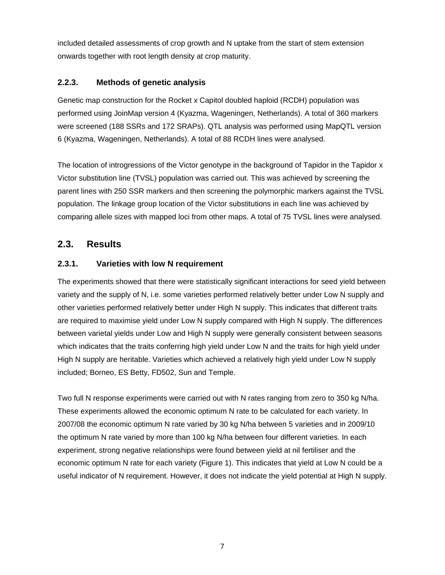included detailed assessments of crop growth and N uptake from the start of stem extension onwards together with root length density at crop maturity.

### **2.2.3. Methods of genetic analysis**

Genetic map construction for the Rocket x Capitol doubled haploid (RCDH) population was performed using JoinMap version 4 (Kyazma, Wageningen, Netherlands). A total of 360 markers were screened (188 SSRs and 172 SRAPs). QTL analysis was performed using MapQTL version 6 (Kyazma, Wageningen, Netherlands). A total of 88 RCDH lines were analysed.

The location of introgressions of the Victor genotype in the background of Tapidor in the Tapidor x Victor substitution line (TVSL) population was carried out. This was achieved by screening the parent lines with 250 SSR markers and then screening the polymorphic markers against the TVSL population. The linkage group location of the Victor substitutions in each line was achieved by comparing allele sizes with mapped loci from other maps. A total of 75 TVSL lines were analysed.

## **2.3. Results**

## **2.3.1. Varieties with low N requirement**

The experiments showed that there were statistically significant interactions for seed yield between variety and the supply of N, i.e. some varieties performed relatively better under Low N supply and other varieties performed relatively better under High N supply. This indicates that different traits are required to maximise yield under Low N supply compared with High N supply. The differences between varietal yields under Low and High N supply were generally consistent between seasons which indicates that the traits conferring high yield under Low N and the traits for high yield under High N supply are heritable. Varieties which achieved a relatively high yield under Low N supply included; Borneo, ES Betty, FD502, Sun and Temple.

Two full N response experiments were carried out with N rates ranging from zero to 350 kg N/ha. These experiments allowed the economic optimum N rate to be calculated for each variety. In 2007/08 the economic optimum N rate varied by 30 kg N/ha between 5 varieties and in 2009/10 the optimum N rate varied by more than 100 kg N/ha between four different varieties. In each experiment, strong negative relationships were found between yield at nil fertiliser and the economic optimum N rate for each variety (Figure 1). This indicates that yield at Low N could be a useful indicator of N requirement. However, it does not indicate the yield potential at High N supply.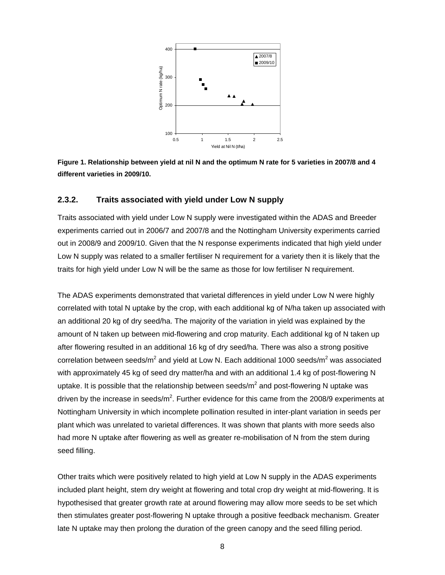

**Figure 1. Relationship between yield at nil N and the optimum N rate for 5 varieties in 2007/8 and 4 different varieties in 2009/10.** 

#### **2.3.2. Traits associated with yield under Low N supply**

Traits associated with yield under Low N supply were investigated within the ADAS and Breeder experiments carried out in 2006/7 and 2007/8 and the Nottingham University experiments carried out in 2008/9 and 2009/10. Given that the N response experiments indicated that high yield under Low N supply was related to a smaller fertiliser N requirement for a variety then it is likely that the traits for high yield under Low N will be the same as those for low fertiliser N requirement.

The ADAS experiments demonstrated that varietal differences in yield under Low N were highly correlated with total N uptake by the crop, with each additional kg of N/ha taken up associated with an additional 20 kg of dry seed/ha. The majority of the variation in yield was explained by the amount of N taken up between mid-flowering and crop maturity. Each additional kg of N taken up after flowering resulted in an additional 16 kg of dry seed/ha. There was also a strong positive correlation between seeds/m<sup>2</sup> and yield at Low N. Each additional 1000 seeds/m<sup>2</sup> was associated with approximately 45 kg of seed dry matter/ha and with an additional 1.4 kg of post-flowering N uptake. It is possible that the relationship between seeds/ $m^2$  and post-flowering N uptake was driven by the increase in seeds/m<sup>2</sup>. Further evidence for this came from the 2008/9 experiments at Nottingham University in which incomplete pollination resulted in inter-plant variation in seeds per plant which was unrelated to varietal differences. It was shown that plants with more seeds also had more N uptake after flowering as well as greater re-mobilisation of N from the stem during seed filling.

Other traits which were positively related to high yield at Low N supply in the ADAS experiments included plant height, stem dry weight at flowering and total crop dry weight at mid-flowering. It is hypothesised that greater growth rate at around flowering may allow more seeds to be set which then stimulates greater post-flowering N uptake through a positive feedback mechanism. Greater late N uptake may then prolong the duration of the green canopy and the seed filling period.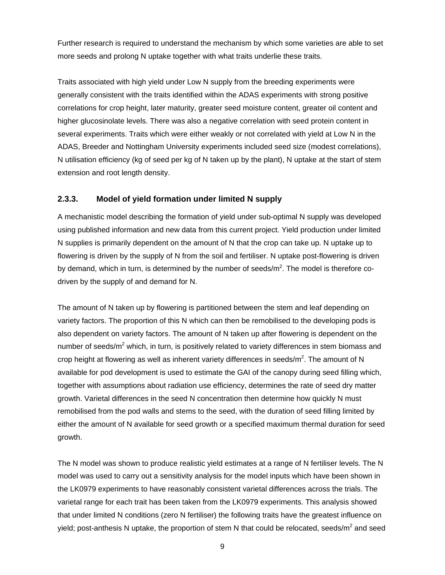Further research is required to understand the mechanism by which some varieties are able to set more seeds and prolong N uptake together with what traits underlie these traits.

Traits associated with high yield under Low N supply from the breeding experiments were generally consistent with the traits identified within the ADAS experiments with strong positive correlations for crop height, later maturity, greater seed moisture content, greater oil content and higher glucosinolate levels. There was also a negative correlation with seed protein content in several experiments. Traits which were either weakly or not correlated with yield at Low N in the ADAS, Breeder and Nottingham University experiments included seed size (modest correlations), N utilisation efficiency (kg of seed per kg of N taken up by the plant), N uptake at the start of stem extension and root length density.

### **2.3.3. Model of yield formation under limited N supply**

A mechanistic model describing the formation of yield under sub-optimal N supply was developed using published information and new data from this current project. Yield production under limited N supplies is primarily dependent on the amount of N that the crop can take up. N uptake up to flowering is driven by the supply of N from the soil and fertiliser. N uptake post-flowering is driven by demand, which in turn, is determined by the number of seeds/m<sup>2</sup>. The model is therefore codriven by the supply of and demand for N.

The amount of N taken up by flowering is partitioned between the stem and leaf depending on variety factors. The proportion of this N which can then be remobilised to the developing pods is also dependent on variety factors. The amount of N taken up after flowering is dependent on the number of seeds/m<sup>2</sup> which, in turn, is positively related to variety differences in stem biomass and crop height at flowering as well as inherent variety differences in seeds/m<sup>2</sup>. The amount of N available for pod development is used to estimate the GAI of the canopy during seed filling which, together with assumptions about radiation use efficiency, determines the rate of seed dry matter growth. Varietal differences in the seed N concentration then determine how quickly N must remobilised from the pod walls and stems to the seed, with the duration of seed filling limited by either the amount of N available for seed growth or a specified maximum thermal duration for seed growth.

The N model was shown to produce realistic yield estimates at a range of N fertiliser levels. The N model was used to carry out a sensitivity analysis for the model inputs which have been shown in the LK0979 experiments to have reasonably consistent varietal differences across the trials. The varietal range for each trait has been taken from the LK0979 experiments. This analysis showed that under limited N conditions (zero N fertiliser) the following traits have the greatest influence on yield; post-anthesis N uptake, the proportion of stem N that could be relocated, seeds/m<sup>2</sup> and seed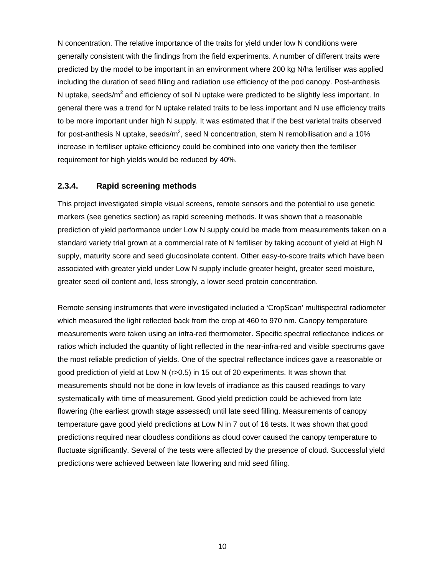N concentration. The relative importance of the traits for yield under low N conditions were generally consistent with the findings from the field experiments. A number of different traits were predicted by the model to be important in an environment where 200 kg N/ha fertiliser was applied including the duration of seed filling and radiation use efficiency of the pod canopy. Post-anthesis N uptake, seeds/m<sup>2</sup> and efficiency of soil N uptake were predicted to be slightly less important. In general there was a trend for N uptake related traits to be less important and N use efficiency traits to be more important under high N supply. It was estimated that if the best varietal traits observed for post-anthesis N uptake, seeds/m<sup>2</sup>, seed N concentration, stem N remobilisation and a 10% increase in fertiliser uptake efficiency could be combined into one variety then the fertiliser requirement for high yields would be reduced by 40%.

#### **2.3.4. Rapid screening methods**

This project investigated simple visual screens, remote sensors and the potential to use genetic markers (see genetics section) as rapid screening methods. It was shown that a reasonable prediction of yield performance under Low N supply could be made from measurements taken on a standard variety trial grown at a commercial rate of N fertiliser by taking account of yield at High N supply, maturity score and seed glucosinolate content. Other easy-to-score traits which have been associated with greater yield under Low N supply include greater height, greater seed moisture, greater seed oil content and, less strongly, a lower seed protein concentration.

Remote sensing instruments that were investigated included a 'CropScan' multispectral radiometer which measured the light reflected back from the crop at 460 to 970 nm. Canopy temperature measurements were taken using an infra-red thermometer. Specific spectral reflectance indices or ratios which included the quantity of light reflected in the near-infra-red and visible spectrums gave the most reliable prediction of yields. One of the spectral reflectance indices gave a reasonable or good prediction of yield at Low N (r>0.5) in 15 out of 20 experiments. It was shown that measurements should not be done in low levels of irradiance as this caused readings to vary systematically with time of measurement. Good yield prediction could be achieved from late flowering (the earliest growth stage assessed) until late seed filling. Measurements of canopy temperature gave good yield predictions at Low N in 7 out of 16 tests. It was shown that good predictions required near cloudless conditions as cloud cover caused the canopy temperature to fluctuate significantly. Several of the tests were affected by the presence of cloud. Successful yield predictions were achieved between late flowering and mid seed filling.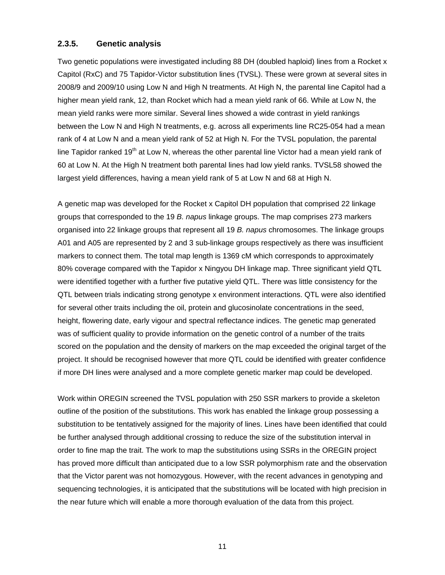#### **2.3.5. Genetic analysis**

Two genetic populations were investigated including 88 DH (doubled haploid) lines from a Rocket x Capitol (RxC) and 75 Tapidor-Victor substitution lines (TVSL). These were grown at several sites in 2008/9 and 2009/10 using Low N and High N treatments. At High N, the parental line Capitol had a higher mean yield rank, 12, than Rocket which had a mean yield rank of 66. While at Low N, the mean yield ranks were more similar. Several lines showed a wide contrast in yield rankings between the Low N and High N treatments, e.g. across all experiments line RC25-054 had a mean rank of 4 at Low N and a mean yield rank of 52 at High N. For the TVSL population, the parental line Tapidor ranked 19<sup>th</sup> at Low N, whereas the other parental line Victor had a mean yield rank of 60 at Low N. At the High N treatment both parental lines had low yield ranks. TVSL58 showed the largest yield differences, having a mean yield rank of 5 at Low N and 68 at High N.

A genetic map was developed for the Rocket x Capitol DH population that comprised 22 linkage groups that corresponded to the 19 *B. napus* linkage groups. The map comprises 273 markers organised into 22 linkage groups that represent all 19 *B. napus* chromosomes. The linkage groups A01 and A05 are represented by 2 and 3 sub-linkage groups respectively as there was insufficient markers to connect them. The total map length is 1369 cM which corresponds to approximately 80% coverage compared with the Tapidor x Ningyou DH linkage map. Three significant yield QTL were identified together with a further five putative yield QTL. There was little consistency for the QTL between trials indicating strong genotype x environment interactions. QTL were also identified for several other traits including the oil, protein and glucosinolate concentrations in the seed, height, flowering date, early vigour and spectral reflectance indices. The genetic map generated was of sufficient quality to provide information on the genetic control of a number of the traits scored on the population and the density of markers on the map exceeded the original target of the project. It should be recognised however that more QTL could be identified with greater confidence if more DH lines were analysed and a more complete genetic marker map could be developed.

Work within OREGIN screened the TVSL population with 250 SSR markers to provide a skeleton outline of the position of the substitutions. This work has enabled the linkage group possessing a substitution to be tentatively assigned for the majority of lines. Lines have been identified that could be further analysed through additional crossing to reduce the size of the substitution interval in order to fine map the trait. The work to map the substitutions using SSRs in the OREGIN project has proved more difficult than anticipated due to a low SSR polymorphism rate and the observation that the Victor parent was not homozygous. However, with the recent advances in genotyping and sequencing technologies, it is anticipated that the substitutions will be located with high precision in the near future which will enable a more thorough evaluation of the data from this project.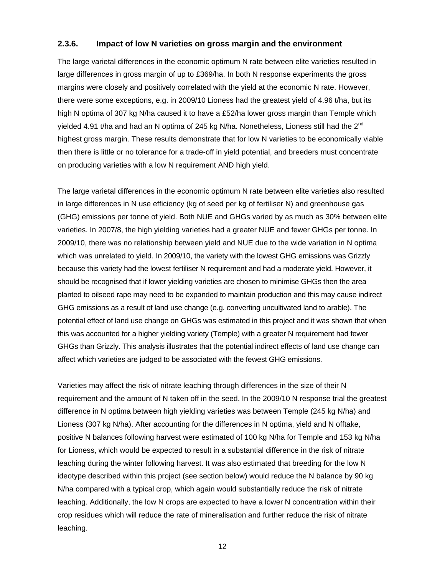#### **2.3.6. Impact of low N varieties on gross margin and the environment**

The large varietal differences in the economic optimum N rate between elite varieties resulted in large differences in gross margin of up to £369/ha. In both N response experiments the gross margins were closely and positively correlated with the yield at the economic N rate. However, there were some exceptions, e.g. in 2009/10 Lioness had the greatest yield of 4.96 t/ha, but its high N optima of 307 kg N/ha caused it to have a £52/ha lower gross margin than Temple which yielded 4.91 t/ha and had an N optima of 245 kg N/ha. Nonetheless, Lioness still had the  $2<sup>nd</sup>$ highest gross margin. These results demonstrate that for low N varieties to be economically viable then there is little or no tolerance for a trade-off in yield potential, and breeders must concentrate on producing varieties with a low N requirement AND high yield.

The large varietal differences in the economic optimum N rate between elite varieties also resulted in large differences in N use efficiency (kg of seed per kg of fertiliser N) and greenhouse gas (GHG) emissions per tonne of yield. Both NUE and GHGs varied by as much as 30% between elite varieties. In 2007/8, the high yielding varieties had a greater NUE and fewer GHGs per tonne. In 2009/10, there was no relationship between yield and NUE due to the wide variation in N optima which was unrelated to yield. In 2009/10, the variety with the lowest GHG emissions was Grizzly because this variety had the lowest fertiliser N requirement and had a moderate yield. However, it should be recognised that if lower yielding varieties are chosen to minimise GHGs then the area planted to oilseed rape may need to be expanded to maintain production and this may cause indirect GHG emissions as a result of land use change (e.g. converting uncultivated land to arable). The potential effect of land use change on GHGs was estimated in this project and it was shown that when this was accounted for a higher yielding variety (Temple) with a greater N requirement had fewer GHGs than Grizzly. This analysis illustrates that the potential indirect effects of land use change can affect which varieties are judged to be associated with the fewest GHG emissions.

Varieties may affect the risk of nitrate leaching through differences in the size of their N requirement and the amount of N taken off in the seed. In the 2009/10 N response trial the greatest difference in N optima between high yielding varieties was between Temple (245 kg N/ha) and Lioness (307 kg N/ha). After accounting for the differences in N optima, yield and N offtake, positive N balances following harvest were estimated of 100 kg N/ha for Temple and 153 kg N/ha for Lioness, which would be expected to result in a substantial difference in the risk of nitrate leaching during the winter following harvest. It was also estimated that breeding for the low N ideotype described within this project (see section below) would reduce the N balance by 90 kg N/ha compared with a typical crop, which again would substantially reduce the risk of nitrate leaching. Additionally, the low N crops are expected to have a lower N concentration within their crop residues which will reduce the rate of mineralisation and further reduce the risk of nitrate leaching.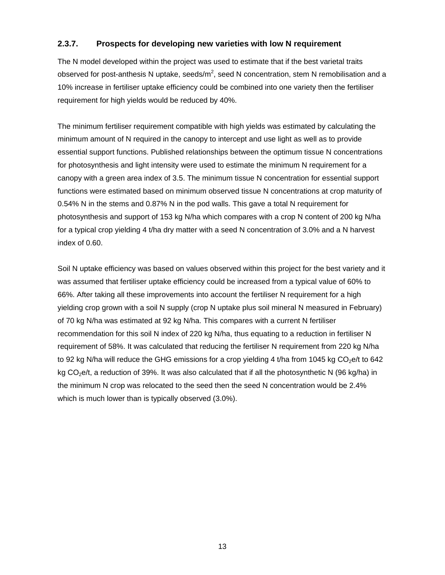### **2.3.7. Prospects for developing new varieties with low N requirement**

The N model developed within the project was used to estimate that if the best varietal traits observed for post-anthesis N uptake, seeds/m<sup>2</sup>, seed N concentration, stem N remobilisation and a 10% increase in fertiliser uptake efficiency could be combined into one variety then the fertiliser requirement for high yields would be reduced by 40%.

The minimum fertiliser requirement compatible with high yields was estimated by calculating the minimum amount of N required in the canopy to intercept and use light as well as to provide essential support functions. Published relationships between the optimum tissue N concentrations for photosynthesis and light intensity were used to estimate the minimum N requirement for a canopy with a green area index of 3.5. The minimum tissue N concentration for essential support functions were estimated based on minimum observed tissue N concentrations at crop maturity of 0.54% N in the stems and 0.87% N in the pod walls. This gave a total N requirement for photosynthesis and support of 153 kg N/ha which compares with a crop N content of 200 kg N/ha for a typical crop yielding 4 t/ha dry matter with a seed N concentration of 3.0% and a N harvest index of 0.60.

Soil N uptake efficiency was based on values observed within this project for the best variety and it was assumed that fertiliser uptake efficiency could be increased from a typical value of 60% to 66%. After taking all these improvements into account the fertiliser N requirement for a high yielding crop grown with a soil N supply (crop N uptake plus soil mineral N measured in February) of 70 kg N/ha was estimated at 92 kg N/ha. This compares with a current N fertiliser recommendation for this soil N index of 220 kg N/ha, thus equating to a reduction in fertiliser N requirement of 58%. It was calculated that reducing the fertiliser N requirement from 220 kg N/ha to 92 kg N/ha will reduce the GHG emissions for a crop yielding 4 t/ha from 1045 kg  $CO<sub>2</sub>e/t$  to 642 kg  $CO<sub>2</sub>e/t$ , a reduction of 39%. It was also calculated that if all the photosynthetic N (96 kg/ha) in the minimum N crop was relocated to the seed then the seed N concentration would be 2.4% which is much lower than is typically observed (3.0%).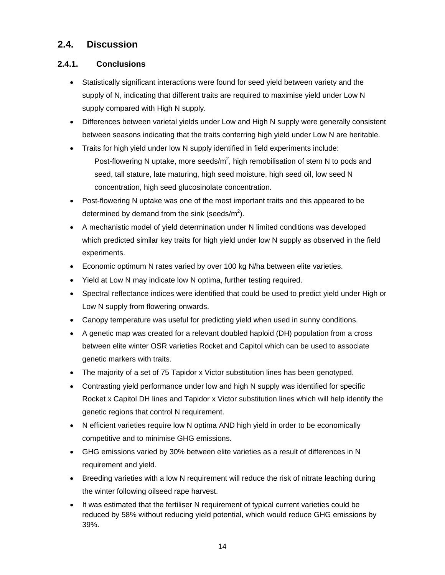## **2.4. Discussion**

## **2.4.1. Conclusions**

- Statistically significant interactions were found for seed yield between variety and the supply of N, indicating that different traits are required to maximise yield under Low N supply compared with High N supply.
- Differences between varietal yields under Low and High N supply were generally consistent between seasons indicating that the traits conferring high yield under Low N are heritable.
- Traits for high yield under low N supply identified in field experiments include: Post-flowering N uptake, more seeds/ $m^2$ , high remobilisation of stem N to pods and seed, tall stature, late maturing, high seed moisture, high seed oil, low seed N concentration, high seed glucosinolate concentration.
- Post-flowering N uptake was one of the most important traits and this appeared to be determined by demand from the sink (seeds/m<sup>2</sup>).
- A mechanistic model of yield determination under N limited conditions was developed which predicted similar key traits for high yield under low N supply as observed in the field experiments.
- Economic optimum N rates varied by over 100 kg N/ha between elite varieties.
- Yield at Low N may indicate low N optima, further testing required.
- Spectral reflectance indices were identified that could be used to predict yield under High or Low N supply from flowering onwards.
- Canopy temperature was useful for predicting yield when used in sunny conditions.
- A genetic map was created for a relevant doubled haploid (DH) population from a cross between elite winter OSR varieties Rocket and Capitol which can be used to associate genetic markers with traits.
- The majority of a set of 75 Tapidor x Victor substitution lines has been genotyped.
- Contrasting yield performance under low and high N supply was identified for specific Rocket x Capitol DH lines and Tapidor x Victor substitution lines which will help identify the genetic regions that control N requirement.
- N efficient varieties require low N optima AND high yield in order to be economically competitive and to minimise GHG emissions.
- GHG emissions varied by 30% between elite varieties as a result of differences in N requirement and yield.
- Breeding varieties with a low N requirement will reduce the risk of nitrate leaching during the winter following oilseed rape harvest.
- It was estimated that the fertiliser N requirement of typical current varieties could be reduced by 58% without reducing yield potential, which would reduce GHG emissions by 39%.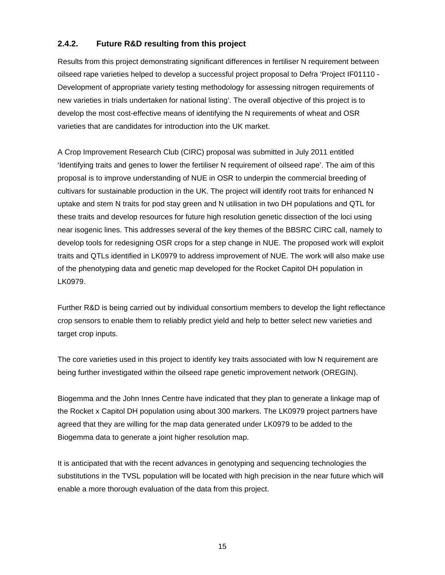## **2.4.2. Future R&D resulting from this project**

Results from this project demonstrating significant differences in fertiliser N requirement between oilseed rape varieties helped to develop a successful project proposal to Defra 'Project IF01110 - Development of appropriate variety testing methodology for assessing nitrogen requirements of new varieties in trials undertaken for national listing'. The overall objective of this project is to develop the most cost-effective means of identifying the N requirements of wheat and OSR varieties that are candidates for introduction into the UK market.

A Crop Improvement Research Club (CIRC) proposal was submitted in July 2011 entitled 'Identifying traits and genes to lower the fertiliser N requirement of oilseed rape'. The aim of this proposal is to improve understanding of NUE in OSR to underpin the commercial breeding of cultivars for sustainable production in the UK. The project will identify root traits for enhanced N uptake and stem N traits for pod stay green and N utilisation in two DH populations and QTL for these traits and develop resources for future high resolution genetic dissection of the loci using near isogenic lines. This addresses several of the key themes of the BBSRC CIRC call, namely to develop tools for redesigning OSR crops for a step change in NUE. The proposed work will exploit traits and QTLs identified in LK0979 to address improvement of NUE. The work will also make use of the phenotyping data and genetic map developed for the Rocket Capitol DH population in LK0979.

Further R&D is being carried out by individual consortium members to develop the light reflectance crop sensors to enable them to reliably predict yield and help to better select new varieties and target crop inputs.

The core varieties used in this project to identify key traits associated with low N requirement are being further investigated within the oilseed rape genetic improvement network (OREGIN).

Biogemma and the John Innes Centre have indicated that they plan to generate a linkage map of the Rocket x Capitol DH population using about 300 markers. The LK0979 project partners have agreed that they are willing for the map data generated under LK0979 to be added to the Biogemma data to generate a joint higher resolution map.

It is anticipated that with the recent advances in genotyping and sequencing technologies the substitutions in the TVSL population will be located with high precision in the near future which will enable a more thorough evaluation of the data from this project.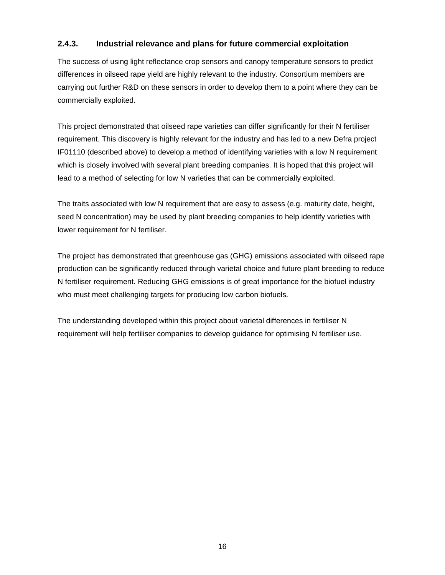## **2.4.3. Industrial relevance and plans for future commercial exploitation**

The success of using light reflectance crop sensors and canopy temperature sensors to predict differences in oilseed rape yield are highly relevant to the industry. Consortium members are carrying out further R&D on these sensors in order to develop them to a point where they can be commercially exploited.

This project demonstrated that oilseed rape varieties can differ significantly for their N fertiliser requirement. This discovery is highly relevant for the industry and has led to a new Defra project IF01110 (described above) to develop a method of identifying varieties with a low N requirement which is closely involved with several plant breeding companies. It is hoped that this project will lead to a method of selecting for low N varieties that can be commercially exploited.

The traits associated with low N requirement that are easy to assess (e.g. maturity date, height, seed N concentration) may be used by plant breeding companies to help identify varieties with lower requirement for N fertiliser.

The project has demonstrated that greenhouse gas (GHG) emissions associated with oilseed rape production can be significantly reduced through varietal choice and future plant breeding to reduce N fertiliser requirement. Reducing GHG emissions is of great importance for the biofuel industry who must meet challenging targets for producing low carbon biofuels.

The understanding developed within this project about varietal differences in fertiliser N requirement will help fertiliser companies to develop guidance for optimising N fertiliser use.